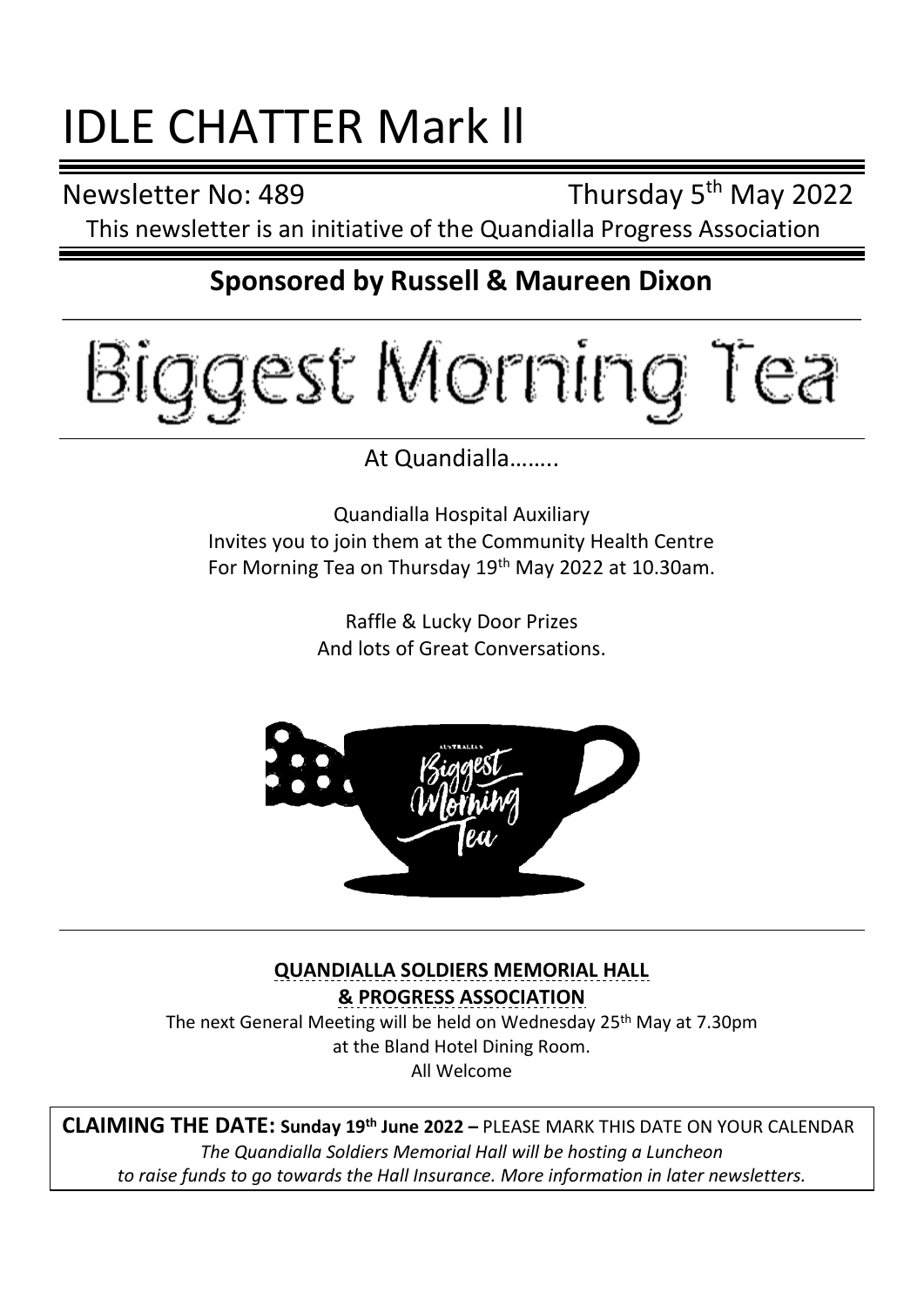# IDLE CHATTER Mark ll

Newsletter No: 489

Thursday 5<sup>th</sup> May 2022

This newsletter is an initiative of the Quandialla Progress Association

## **Sponsored by Russell & Maureen Dixon**



At Quandialla……..

Quandialla Hospital Auxiliary Invites you to join them at the Community Health Centre For Morning Tea on Thursday 19<sup>th</sup> May 2022 at 10.30am.

> Raffle & Lucky Door Prizes And lots of Great Conversations.



**QUANDIALLA SOLDIERS MEMORIAL HALL & PROGRESS ASSOCIATION** The next General Meeting will be held on Wednesday 25<sup>th</sup> May at 7.30pm at the Bland Hotel Dining Room. All Welcome

**CLAIMING THE DATE: Sunday 19th June 2022 –** PLEASE MARK THIS DATE ON YOUR CALENDAR *The Quandialla Soldiers Memorial Hall will be hosting a Luncheon to raise funds to go towards the Hall Insurance. More information in later newsletters.*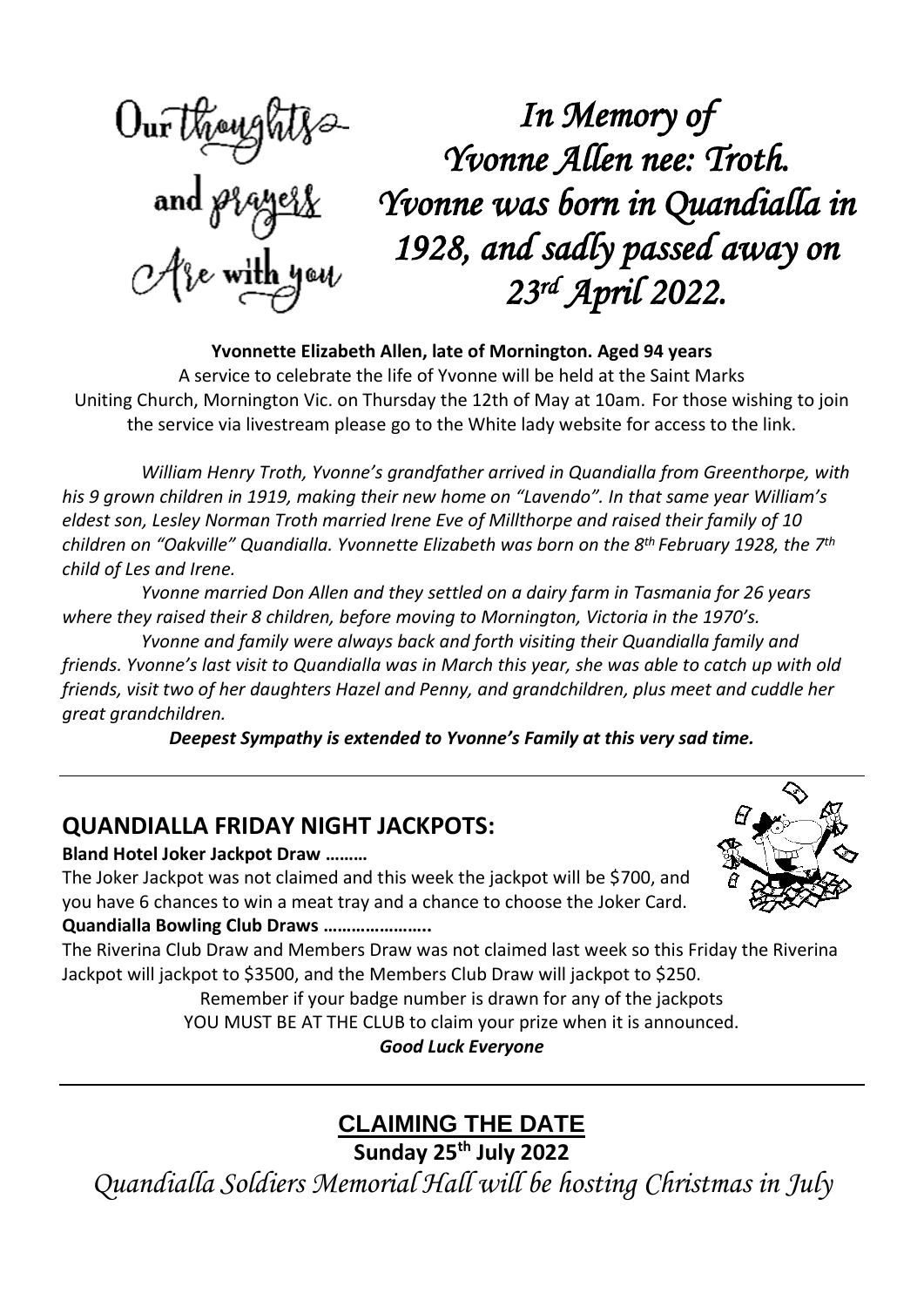*In Memory of Yvonne Allen nee: Troth. Yvonne was born in Quandialla in 1928, and sadly passed away on*  Are with you *23rd April 2022.* 

**Yvonnette Elizabeth Allen, late of Mornington. Aged 94 years** A service to celebrate the life of Yvonne will be held at the Saint Marks Uniting Church, Mornington Vic. on Thursday the 12th of May at 10am. For those wishing to join the service via livestream please go to the White lady website for access to the link.

*William Henry Troth, Yvonne's grandfather arrived in Quandialla from Greenthorpe, with his 9 grown children in 1919, making their new home on "Lavendo". In that same year William's eldest son, Lesley Norman Troth married Irene Eve of Millthorpe and raised their family of 10 children on "Oakville" Quandialla. Yvonnette Elizabeth was born on the 8 th February 1928, the 7 th child of Les and Irene.*

*Yvonne married Don Allen and they settled on a dairy farm in Tasmania for 26 years where they raised their 8 children, before moving to Mornington, Victoria in the 1970's.*

*Yvonne and family were always back and forth visiting their Quandialla family and* friends. Yvonne's last visit to Quandialla was in March this year, she was able to catch up with old *friends, visit two of her daughters Hazel and Penny, and grandchildren, plus meet and cuddle her great grandchildren.*

*Deepest Sympathy is extended to Yvonne's Family at this very sad time.*

## **QUANDIALLA FRIDAY NIGHT JACKPOTS:**

**Bland Hotel Joker Jackpot Draw ………**

The Joker Jackpot was not claimed and this week the jackpot will be \$700, and you have 6 chances to win a meat tray and a chance to choose the Joker Card. **Quandialla Bowling Club Draws …………………..**



The Riverina Club Draw and Members Draw was not claimed last week so this Friday the Riverina Jackpot will jackpot to \$3500, and the Members Club Draw will jackpot to \$250.

Remember if your badge number is drawn for any of the jackpots

YOU MUST BE AT THE CLUB to claim your prize when it is announced.

*Good Luck Everyone*

# **CLAIMING THE DATE**

**Sunday 25th July 2022**

*Quandialla Soldiers Memorial Hall will be hosting Christmas in July*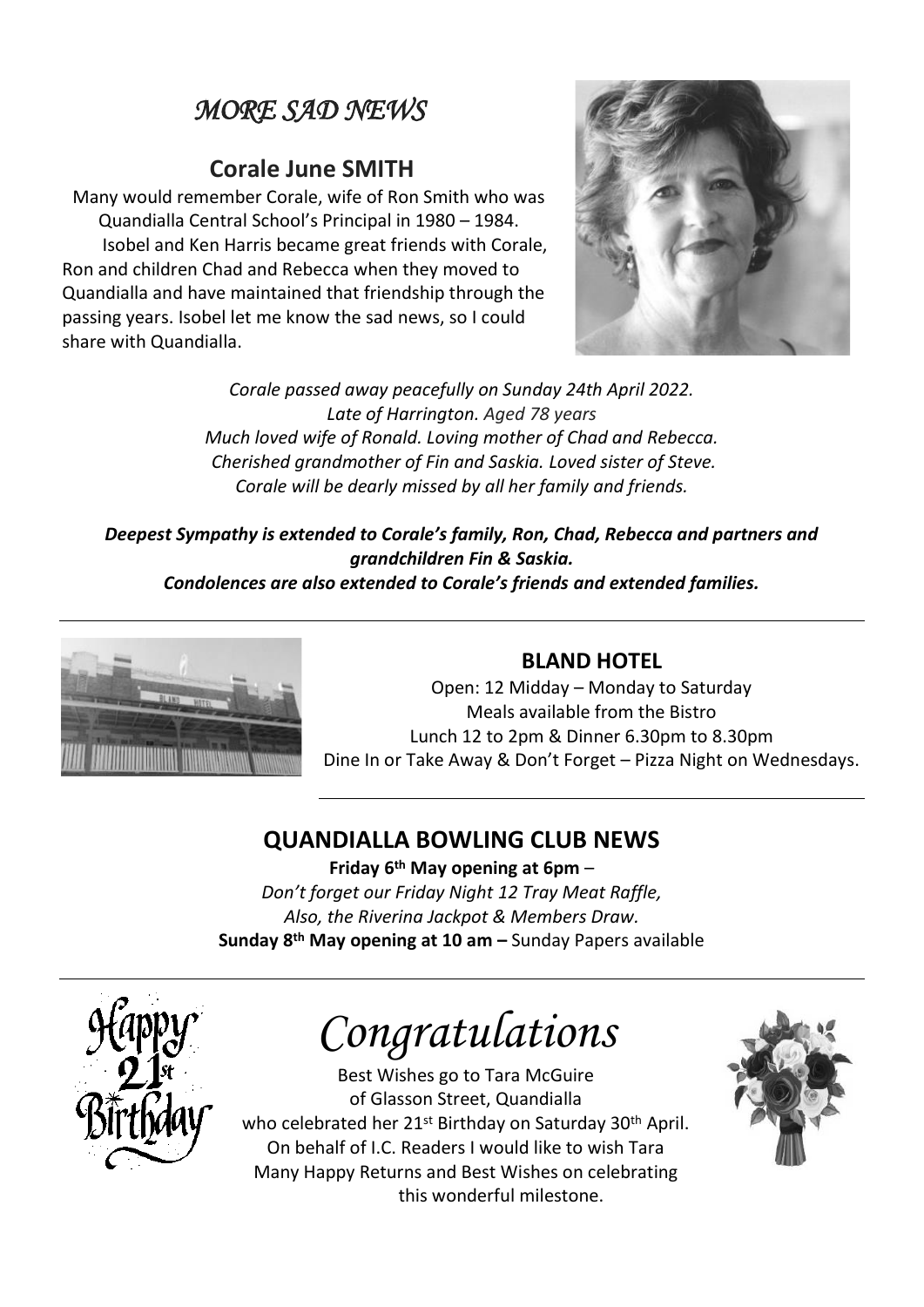# *MORE SAD NEWS*

#### **Corale June SMITH**

Many would remember Corale, wife of Ron Smith who was Quandialla Central School's Principal in 1980 – 1984. Isobel and Ken Harris became great friends with Corale, Ron and children Chad and Rebecca when they moved to Quandialla and have maintained that friendship through the passing years. Isobel let me know the sad news, so I could share with Quandialla.



*Corale passed away peacefully on Sunday 24th April 2022. Late of Harrington. Aged 78 years Much loved wife of Ronald. Loving mother of Chad and Rebecca. Cherished grandmother of Fin and Saskia. Loved sister of Steve. Corale will be dearly missed by all her family and friends.*

*Deepest Sympathy is extended to Corale's family, Ron, Chad, Rebecca and partners and grandchildren Fin & Saskia.*

*Condolences are also extended to Corale's friends and extended families.*



#### **BLAND HOTEL**

Open: 12 Midday – Monday to Saturday Meals available from the Bistro Lunch 12 to 2pm & Dinner 6.30pm to 8.30pm Dine In or Take Away & Don't Forget – Pizza Night on Wednesdays.

## **QUANDIALLA BOWLING CLUB NEWS**

**Friday 6 th May opening at 6pm** – *Don't forget our Friday Night 12 Tray Meat Raffle, Also, the Riverina Jackpot & Members Draw.* **Sunday 8 th May opening at 10 am –** Sunday Papers available



*Congratulations*

Best Wishes go to Tara McGuire of Glasson Street, Quandialla who celebrated her 21st Birthday on Saturday 30th April. On behalf of I.C. Readers I would like to wish Tara Many Happy Returns and Best Wishes on celebrating this wonderful milestone.